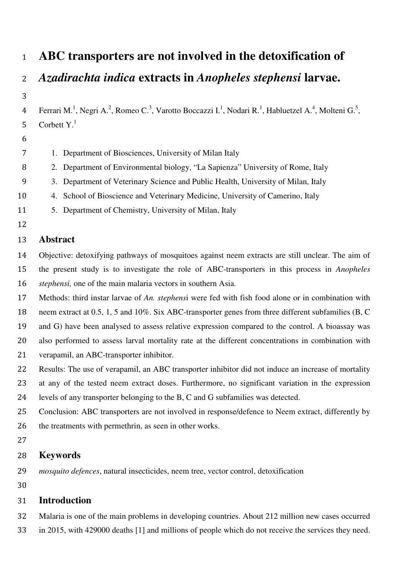# **ABC transporters are not involved in the detoxification of**

*Azadirachta indica* **extracts in** *Anopheles stephensi* **larvae.** 

4 Ferrari M.<sup>1</sup>, Negri A.<sup>2</sup>, Romeo C.<sup>3</sup>, Varotto Boccazzi I.<sup>1</sup>, Nodari R.<sup>1</sup>, Habluetzel A.<sup>4</sup>, Molteni G.<sup>5</sup>, Corbett  $Y<sup>1</sup>$ 

1. Department of Biosciences, University of Milan Italy

2. Department of Environmental biology, "La Sapienza" University of Rome, Italy

3. Department of Veterinary Science and Public Health, University of Milan, Italy

4. School of Bioscience and Veterinary Medicine, University of Camerino, Italy

- 5. Department of Chemistry, University of Milan, Italy
- 

## **Abstract**

Objective: detoxifying pathways of mosquitoes against neem extracts are still unclear. The aim of the present study is to investigate the role of ABC-transporters in this process in *Anopheles stephensi,* one of the main malaria vectors in southern Asia.

Methods: third instar larvae of *An. stephens*i were fed with fish food alone or in combination with

neem extract at 0.5, 1, 5 and 10%. Six ABC-transporter genes from three different subfamilies (B, C

and G) have been analysed to assess relative expression compared to the control. A bioassay was

also performed to assess larval mortality rate at the different concentrations in combination with verapamil, an ABC-transporter inhibitor.

- Results: The use of verapamil, an ABC transporter inhibitor did not induce an increase of mortality at any of the tested neem extract doses. Furthermore, no significant variation in the expression
- levels of any transporter belonging to the B, C and G subfamilies was detected.
- Conclusion: ABC transporters are not involved in response/defence to Neem extract, differently by the treatments with permethrin, as seen in other works.
- 

# **Keywords**

*mosquito defences*, natural insecticides, neem tree, vector control, detoxification

# **Introduction**

Malaria is one of the main problems in developing countries. About 212 million new cases occurred

in 2015, with 429000 deaths [1] and millions of people which do not receive the services they need.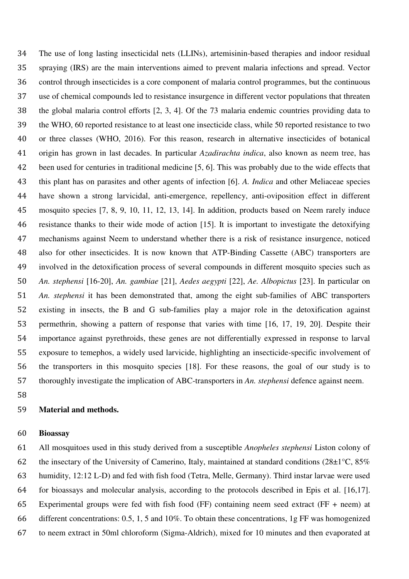The use of long lasting insecticidal nets (LLINs), artemisinin-based therapies and indoor residual spraying (IRS) are the main interventions aimed to prevent malaria infections and spread. Vector control through insecticides is a core component of malaria control programmes, but the continuous use of chemical compounds led to resistance insurgence in different vector populations that threaten the global malaria control efforts [2, 3, 4]. Of the 73 malaria endemic countries providing data to the WHO, 60 reported resistance to at least one insecticide class, while 50 reported resistance to two or three classes (WHO, 2016). For this reason, research in alternative insecticides of botanical origin has grown in last decades. In particular *Azadirachta indica*, also known as neem tree, has been used for centuries in traditional medicine [5, 6]. This was probably due to the wide effects that this plant has on parasites and other agents of infection [6]. *A. Indica* and other Meliaceae species have shown a strong larvicidal, anti-emergence, repellency, anti-oviposition effect in different mosquito species [7, 8, 9, 10, 11, 12, 13, 14]. In addition, products based on Neem rarely induce resistance thanks to their wide mode of action [15]. It is important to investigate the detoxifying mechanisms against Neem to understand whether there is a risk of resistance insurgence, noticed also for other insecticides. It is now known that ATP-Binding Cassette (ABC) transporters are involved in the detoxification process of several compounds in different mosquito species such as *An. stephensi* [16-20], *An. gambiae* [21], *Aedes aegypti* [22], *Ae. Albopictus* [23]. In particular on *An. stephensi* it has been demonstrated that, among the eight sub-families of ABC transporters existing in insects, the B and G sub-families play a major role in the detoxification against permethrin, showing a pattern of response that varies with time [16, 17, 19, 20]. Despite their importance against pyrethroids, these genes are not differentially expressed in response to larval exposure to temephos, a widely used larvicide, highlighting an insecticide-specific involvement of the transporters in this mosquito species [18]. For these reasons, the goal of our study is to thoroughly investigate the implication of ABC-transporters in *An. stephensi* defence against neem.

#### **Material and methods.**

#### **Bioassay**

All mosquitoes used in this study derived from a susceptible *Anopheles stephensi* Liston colony of 62 the insectary of the University of Camerino, Italy, maintained at standard conditions ( $28\pm1\degree$ C,  $85\%$ ) humidity, 12:12 L-D) and fed with fish food (Tetra, Melle, Germany). Third instar larvae were used for bioassays and molecular analysis, according to the protocols described in Epis et al. [16,17]. Experimental groups were fed with fish food (FF) containing neem seed extract (FF + neem) at different concentrations: 0.5, 1, 5 and 10%. To obtain these concentrations, 1g FF was homogenized to neem extract in 50ml chloroform (Sigma-Aldrich), mixed for 10 minutes and then evaporated at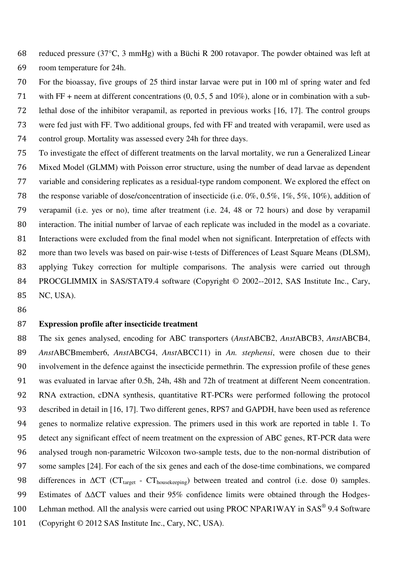reduced pressure (37°C, 3 mmHg) with a Büchi R 200 rotavapor. The powder obtained was left at room temperature for 24h.

For the bioassay, five groups of 25 third instar larvae were put in 100 ml of spring water and fed with FF + neem at different concentrations (0, 0.5, 5 and 10%), alone or in combination with a sub-lethal dose of the inhibitor verapamil, as reported in previous works [16, 17]. The control groups were fed just with FF. Two additional groups, fed with FF and treated with verapamil, were used as control group. Mortality was assessed every 24h for three days. To investigate the effect of different treatments on the larval mortality, we run a Generalized Linear

- Mixed Model (GLMM) with Poisson error structure, using the number of dead larvae as dependent variable and considering replicates as a residual-type random component. We explored the effect on the response variable of dose/concentration of insecticide (i.e. 0%, 0.5%, 1%, 5%, 10%), addition of verapamil (i.e. yes or no), time after treatment (i.e. 24, 48 or 72 hours) and dose by verapamil interaction. The initial number of larvae of each replicate was included in the model as a covariate. Interactions were excluded from the final model when not significant. Interpretation of effects with 82 more than two levels was based on pair-wise t-tests of Differences of Least Square Means (DLSM), applying Tukey correction for multiple comparisons. The analysis were carried out through 84 PROCGLIMMIX in SAS/STAT9.4 software (Copyright © 2002--2012, SAS Institute Inc., Cary, NC, USA).
- 

#### **Expression profile after insecticide treatment**

The six genes analysed, encoding for ABC transporters (*Anst*ABCB2, *Anst*ABCB3, *Anst*ABCB4, *Anst*ABCBmember6, *Anst*ABCG4, *Anst*ABCC11) in *An. stephensi*, were chosen due to their involvement in the defence against the insecticide permethrin. The expression profile of these genes was evaluated in larvae after 0.5h, 24h, 48h and 72h of treatment at different Neem concentration. RNA extraction, cDNA synthesis, quantitative RT-PCRs were performed following the protocol described in detail in [16, 17]. Two different genes, RPS7 and GAPDH, have been used as reference genes to normalize relative expression. The primers used in this work are reported in table 1. To detect any significant effect of neem treatment on the expression of ABC genes, RT-PCR data were analysed trough non-parametric Wilcoxon two-sample tests, due to the non-normal distribution of some samples [24]. For each of the six genes and each of the dose-time combinations, we compared 98 differences in  $\Delta CT$  ( $CT_{\text{target}}$  -  $CT_{\text{housekeeping}}$ ) between treated and control (i.e. dose 0) samples. Estimates of ΔΔCT values and their 95% confidence limits were obtained through the Hodges-100 Lehman method. All the analysis were carried out using PROC NPAR1WAY in SAS<sup>®</sup> 9.4 Software 101 (Copyright © 2012 SAS Institute Inc., Cary, NC, USA).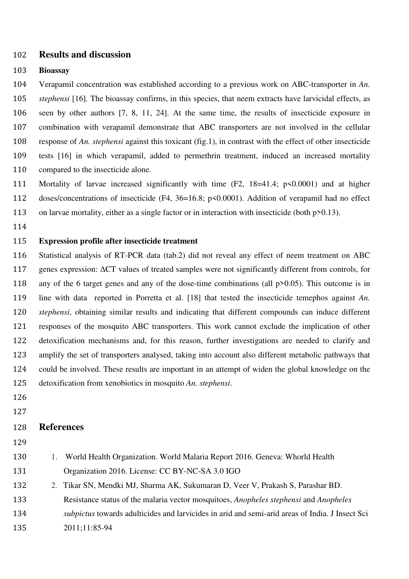### **Results and discussion**

#### **Bioassay**

Verapamil concentration was established according to a previous work on ABC-transporter in *An. stephensi* [16]*.* The bioassay confirms, in this species, that neem extracts have larvicidal effects, as seen by other authors [7, 8, 11, 24]. At the same time, the results of insecticide exposure in combination with verapamil demonstrate that ABC transporters are not involved in the cellular response of *An. stephensi* against this toxicant (fig.1), in contrast with the effect of other insecticide tests [16] in which verapamil, added to permethrin treatment, induced an increased mortality compared to the insecticide alone.

- Mortality of larvae increased significantly with time (F2, 18=41.4; p<0.0001) and at higher doses/concentrations of insecticide (F4, 36=16.8; p<0.0001). Addition of verapamil had no effect 113 on larvae mortality, either as a single factor or in interaction with insecticide (both p>0.13).
- 

## **Expression profile after insecticide treatment**

Statistical analysis of RT-PCR data (tab.2) did not reveal any effect of neem treatment on ABC genes expression: ΔCT values of treated samples were not significantly different from controls, for any of the 6 target genes and any of the dose-time combinations (all p>0.05). This outcome is in line with data reported in Porretta et al. [18] that tested the insecticide temephos against *An. stephensi*, obtaining similar results and indicating that different compounds can induce different responses of the mosquito ABC transporters. This work cannot exclude the implication of other detoxification mechanisms and, for this reason, further investigations are needed to clarify and amplify the set of transporters analysed, taking into account also different metabolic pathways that could be involved. These results are important in an attempt of widen the global knowledge on the detoxification from xenobiotics in mosquito *An. stephensi*.

- 
- 

## **References**

- 
- 1. World Health Organization. World Malaria Report 2016. Geneva: Whorld Health Organization 2016. License: CC BY-NC-SA 3.0 IGO
- 2. Tikar SN, Mendki MJ, Sharma AK, Sukumaran D, Veer V, Prakash S, Parashar BD. Resistance status of the malaria vector mosquitoes, *Anopheles stephensi* and *Anopheles*
- *subpictus* towards adulticides and larvicides in arid and semi-arid areas of India. J Insect Sci
- 2011;11:85-94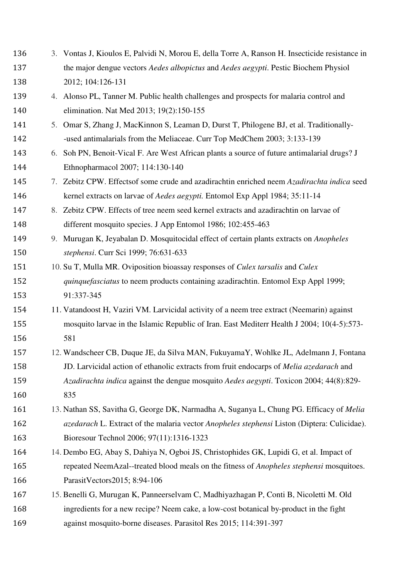the major dengue vectors *Aedes albopictus* and *Aedes aegypti*. Pestic Biochem Physiol 2012; 104:126-131 4. Alonso PL, Tanner M. Public health challenges and prospects for malaria control and elimination. Nat Med 2013; 19(2):150-155 5. Omar S, Zhang J, MacKinnon S, Leaman D, Durst T, Philogene BJ, et al. Traditionally--used antimalarials from the Meliaceae. Curr Top MedChem 2003; 3:133-139 6. Soh PN, Benoit-Vical F. Are West African plants a source of future antimalarial drugs? J Ethnopharmacol 2007; 114:130-140 7. Zebitz CPW. Effectsof some crude and azadirachtin enriched neem *Azadirachta indica* seed kernel extracts on larvae of *Aedes aegypti.* Entomol Exp Appl 1984; 35:11-14 8. Zebitz CPW. Effects of tree neem seed kernel extracts and azadirachtin on larvae of different mosquito species. J App Entomol 1986; 102:455-463 9. Murugan K, Jeyabalan D. Mosquitocidal effect of certain plants extracts on *Anopheles stephensi*. Curr Sci 1999; 76:631-633 10. Su T, Mulla MR. Oviposition bioassay responses of *Culex tarsalis* and *Culex quinquefasciatus* to neem products containing azadirachtin. Entomol Exp Appl 1999; 91:337-345 11. Vatandoost H, Vaziri VM. Larvicidal activity of a neem tree extract (Neemarin) against mosquito larvae in the Islamic Republic of Iran. East Mediterr Health J 2004; 10(4-5):573- 581 12. Wandscheer CB, Duque JE, da Silva MAN, FukuyamaY, Wohlke JL, Adelmann J, Fontana JD. Larvicidal action of ethanolic extracts from fruit endocarps of *Melia azedarach* and *Azadirachta indica* against the dengue mosquito *Aedes aegypti*. Toxicon 2004; 44(8):829- 835 13. Nathan SS, Savitha G, George DK, Narmadha A, Suganya L, Chung PG. Efficacy of *Melia azedarach* L. Extract of the malaria vector *Anopheles stephensi* Liston (Diptera: Culicidae). Bioresour Technol 2006; 97(11):1316-1323 14. Dembo EG, Abay S, Dahiya N, Ogboi JS, Christophides GK, Lupidi G, et al. Impact of repeated NeemAzal--treated blood meals on the fitness of *Anopheles stephensi* mosquitoes. ParasitVectors2015; 8:94-106 15. Benelli G, Murugan K, Panneerselvam C, Madhiyazhagan P, Conti B, Nicoletti M. Old ingredients for a new recipe? Neem cake, a low-cost botanical by-product in the fight against mosquito-borne diseases. Parasitol Res 2015; 114:391-397

3. Vontas J, Kioulos E, Palvidi N, Morou E, della Torre A, Ranson H. Insecticide resistance in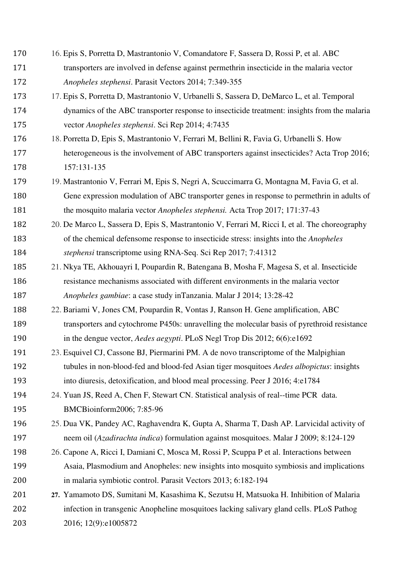- 16. Epis S, Porretta D, Mastrantonio V, Comandatore F, Sassera D, Rossi P, et al. ABC transporters are involved in defense against permethrin insecticide in the malaria vector *Anopheles stephensi*. Parasit Vectors 2014; 7:349-355
- 17. Epis S, Porretta D, Mastrantonio V, Urbanelli S, Sassera D, DeMarco L, et al. Temporal dynamics of the ABC transporter response to insecticide treatment: insights from the malaria vector *Anopheles stephensi*. Sci Rep 2014; 4:7435
- 18. Porretta D, Epis S, Mastrantonio V, Ferrari M, Bellini R, Favia G, Urbanelli S. How heterogeneous is the involvement of ABC transporters against insecticides? Acta Trop 2016; 157:131-135
- 19. Mastrantonio V, Ferrari M, Epis S, Negri A, Scuccimarra G, Montagna M, Favia G, et al. Gene expression modulation of ABC transporter genes in response to permethrin in adults of the mosquito malaria vector *Anopheles stephensi.* Acta Trop 2017; 171:37-43
- 20. De Marco L, Sassera D, Epis S, Mastrantonio V, Ferrari M, Ricci I, et al. The choreography of the chemical defensome response to insecticide stress: insights into the *Anopheles stephensi* transcriptome using RNA-Seq. Sci Rep 2017; 7:41312
- 21. Nkya TE, Akhouayri I, Poupardin R, Batengana B, Mosha F, Magesa S, et al. Insecticide resistance mechanisms associated with different environments in the malaria vector *Anopheles gambiae*: a case study inTanzania. Malar J 2014; 13:28-42
- 22. Bariami V, Jones CM, Poupardin R, Vontas J, Ranson H. Gene amplification, ABC transporters and cytochrome P450s: unravelling the molecular basis of pyrethroid resistance in the dengue vector, *Aedes aegypti*. PLoS Negl Trop Dis 2012; 6(6):e1692
- 23. Esquivel CJ, Cassone BJ, Piermarini PM. A de novo transcriptome of the Malpighian tubules in non-blood-fed and blood-fed Asian tiger mosquitoes *Aedes albopictus*: insights into diuresis, detoxification, and blood meal processing. Peer J 2016; 4:e1784
- 24. Yuan JS, Reed A, Chen F, Stewart CN. Statistical analysis of real--time PCR data. BMCBioinform2006; 7:85-96
- 25. Dua VK, Pandey AC, Raghavendra K, Gupta A, Sharma T, Dash AP. Larvicidal activity of neem oil (*Azadirachta indica*) formulation against mosquitoes. Malar J 2009; 8:124-129
- 26. Capone A, Ricci I, Damiani C, Mosca M, Rossi P, Scuppa P et al. Interactions between Asaia, Plasmodium and Anopheles: new insights into mosquito symbiosis and implications in malaria symbiotic control. Parasit Vectors 2013; 6:182-194
- **27.** Yamamoto DS, Sumitani M, Kasashima K, Sezutsu H, Matsuoka H. Inhibition of Malaria infection in transgenic Anopheline mosquitoes lacking salivary gland cells. PLoS Pathog 2016; 12(9):e1005872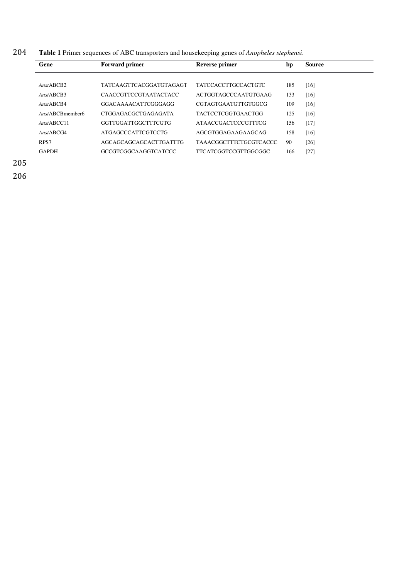204 **Table 1** Primer sequences of ABC transporters and housekeeping genes of *Anopheles stephensi*.

| Gene                    | <b>Forward primer</b>        | Reverse primer                | bp  | <b>Source</b> |
|-------------------------|------------------------------|-------------------------------|-----|---------------|
|                         |                              |                               |     |               |
| Ans <sub>t</sub> ABCB2  | TATCAAGTTCACGGATGTAGAGT      | <b>TATCCACCTTGCCACTGTC</b>    | 185 | [16]          |
| Ans <sub>t</sub> ABCB3  | <b>CAACCGTTCCGTAATACTACC</b> | ACTGGTAGCCCAATGTGAAG          | 133 | [16]          |
| Ans <sub>t</sub> ABCB4  | GGACAAAACATTCGGGAGG          | <b>CGTAGTGAATGTTGTGGCG</b>    | 109 | [16]          |
| AnstABCBmember6         | <b>CTGGAGACGCTGAGAGATA</b>   | <b>TACTCCTCGGTGAACTGG</b>     | 125 | [16]          |
| Ans <sub>t</sub> ABCC11 | GGTTGGATTGGCTTTCGTG          | <b>ATAACCGACTCCCGTTTCG</b>    | 156 | $[17]$        |
| Ans <sub>t</sub> ABCG4  | ATGAGCCCATTCGTCCTG           | AGCGTGGAGAAGAAGCAG            | 158 | [16]          |
| RPS7                    | AGCAGCAGCAGCACTTGATTTG       | <b>TAAACGGCTTTCTGCGTCACCC</b> | 90  | $[26]$        |
| <b>GAPDH</b>            | GCCGTCGGCAAGGTCATCCC         | TTCATCGGTCCGTTGGCGGC          | 166 | $[27]$        |

205

206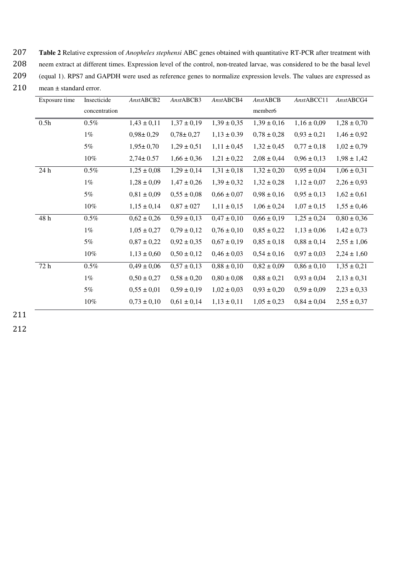207 **Table 2** Relative expression of *Anopheles stephensi* ABC genes obtained with quantitative RT-PCR after treatment with

208 neem extract at different times. Expression level of the control, non-treated larvae, was considered to be the basal level

209 (equal 1). RPS7 and GAPDH were used as reference genes to normalize expression levels. The values are expressed as

210 mean ± standard error.

| Exposure time | Insecticide   | AnstABCB2       | AnstABCB3       | AnstABCB4       | <b>AnstABCB</b> | AnstABCC11      | AnstABCG4       |
|---------------|---------------|-----------------|-----------------|-----------------|-----------------|-----------------|-----------------|
|               | concentration |                 |                 |                 | member6         |                 |                 |
| 0.5h          | $0.5\%$       | $1,43 \pm 0,11$ | $1,37 \pm 0,19$ | $1,39 \pm 0,35$ | $1,39 \pm 0,16$ | $1,16 \pm 0,09$ | $1,28 \pm 0,70$ |
|               | $1\%$         | $0,98 \pm 0,29$ | $0,78 \pm 0,27$ | $1,13 \pm 0.39$ | $0.78 \pm 0.28$ | $0,93 \pm 0,21$ | $1,46 \pm 0.92$ |
|               | 5%            | $1,95 \pm 0,70$ | $1,29 \pm 0,51$ | $1,11 \pm 0,45$ | $1,32 \pm 0,45$ | $0.77 \pm 0.18$ | $1,02 \pm 0,79$ |
|               | 10%           | $2,74 \pm 0.57$ | $1,66 \pm 0,36$ | $1,21 \pm 0,22$ | $2,08 \pm 0,44$ | $0,96 \pm 0,13$ | $1,98 \pm 1,42$ |
| 24 h          | $0.5\%$       | $1,25 \pm 0,08$ | $1,29 \pm 0,14$ | $1,31 \pm 0,18$ | $1,32 \pm 0,20$ | $0.95 \pm 0.04$ | $1,06 \pm 0,31$ |
|               | $1\%$         | $1,28 \pm 0,09$ | $1,47 \pm 0,26$ | $1,39 \pm 0,32$ | $1,32 \pm 0,28$ | $1,12 \pm 0,07$ | $2,26 \pm 0,93$ |
|               | 5%            | $0,81 \pm 0,09$ | $0,55 \pm 0,08$ | $0,66 \pm 0,07$ | $0,98 \pm 0,16$ | $0,95 \pm 0,13$ | $1,62 \pm 0,61$ |
|               | $10\%$        | $1,15 \pm 0,14$ | $0,87 \pm 027$  | $1,11 \pm 0,15$ | $1,06 \pm 0,24$ | $1,07 \pm 0,15$ | $1,55 \pm 0,46$ |
| 48 h          | $0.5\%$       | $0,62 \pm 0,26$ | $0,59 \pm 0,13$ | $0,47 \pm 0,10$ | $0,66 \pm 0,19$ | $1,25 \pm 0,24$ | $0,80 \pm 0,36$ |
|               | $1\%$         | $1,05 \pm 0,27$ | $0,79 \pm 0,12$ | $0,76 \pm 0,10$ | $0,85 \pm 0,22$ | $1,13 \pm 0,06$ | $1,42 \pm 0,73$ |
|               | 5%            | $0.87 \pm 0.22$ | $0.92 \pm 0.35$ | $0.67 \pm 0.19$ | $0.85 \pm 0.18$ | $0,88 \pm 0,14$ | $2,55 \pm 1,06$ |
|               | $10\%$        | $1,13 \pm 0,60$ | $0,50 \pm 0,12$ | $0,46 \pm 0,03$ | $0,54 \pm 0,16$ | $0.97 \pm 0.03$ | $2,24 \pm 1,60$ |
| 72 h          | $0.5\%$       | $0,49 \pm 0,06$ | $0.57 \pm 0.13$ | $0.88 \pm 0.10$ | $0.82 \pm 0.09$ | $0,86 \pm 0,10$ | $1,35 \pm 0,21$ |
|               | $1\%$         | $0,50 \pm 0,27$ | $0,58 \pm 0,20$ | $0,80 \pm 0,08$ | $0,88 \pm 0,21$ | $0,93 \pm 0,04$ | $2,13 \pm 0,31$ |
|               | 5%            | $0,55 \pm 0,01$ | $0,59 \pm 0,19$ | $1,02 \pm 0,03$ | $0,93 \pm 0,20$ | $0,59 \pm 0,09$ | $2,23 \pm 0,33$ |
|               | $10\%$        | $0.73 \pm 0.10$ | $0,61 \pm 0,14$ | $1,13 \pm 0,11$ | $1,05 \pm 0,23$ | $0,84 \pm 0,04$ | $2,55 \pm 0,37$ |

211

212